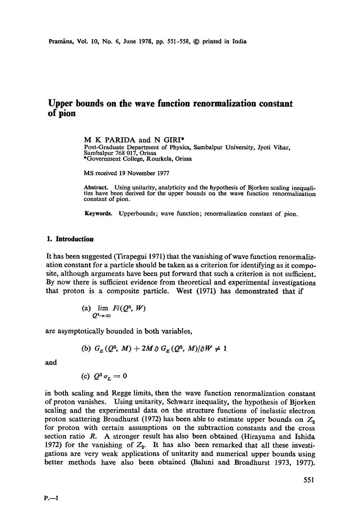# **Upper bounds on the wave function renormalization constant of pion**

M K PARIDA and N GIRI\* Post-Graduate Department of Physics, Sambalpur University, Jyoti Vihar, Sambalpur 768 017, Orissa \*Government College, Rourkela, Orissa

MS received 19 November 1977

**Abstract.** Using unitarity, analyticity and the hypothesis of Bjorken scaling inequalities have been derived for the upper bounds on the wave function renormalization constant of pion.

Keywords. Upperbounds; wave function; renormalization constant of pion.

## **1. Introduction**

It has been suggested (Tirapegui 1971) that the vanishing of wave function renormalization constant for a particle should be taken as a criterion for identifying as it composite, although arguments have been put forward that such a criterion is not sufficient. By now there is sufficient evidence from theoretical and experimental investigations that proton is a composite particle. West (1971) has demonstrated that if

> (a)  $\lim$  *Fi*( $Q^2$ , *W*)  $O^2\rightarrow\infty$

are asymptotically bounded in both variables,

(b) 
$$
G_F(Q^2, M) + 2M \partial G_F(Q^2, M)/\partial W \neq 1
$$

and

*(c)*  $Q^2 \sigma_r = 0$ 

in both scaling and Regge limits, then the wave function renormalization constant of proton vanishes. Using unitarity, Schwarz inequality, the hypothesis of Bjorken scaling and the experimental data on the structure functions of inelastic electron proton scattering Broadhurst (1972) has been able to estimate upper bounds on  $Z_2$ for proton with certain assumptions on the subtraction constants and the cross section ratio R. A stronger result has also been obtained (Hirayama and Ishida 1972) for the vanishing of  $Z_2$ . It has also been remarked that all these investigations are very weak applications of unitarity and numerical upper bounds using better methods have also been obtained (Bahmi and Broadhurst 1973, 1977).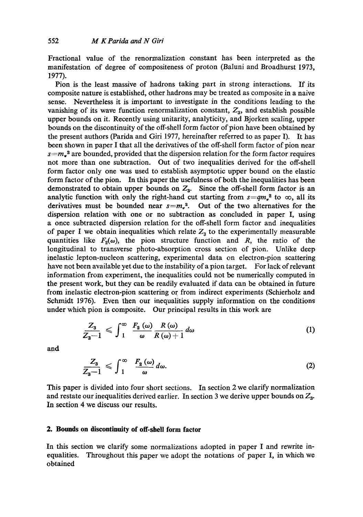Fractional value of the renormalization constant has been interpreted as the manifestation of degree of compositeness of proton (Baluni and Broadhurst 1973, 1977).

Pion is the least massive of hadrons taking part in strong interactions. If its composite nature is established, other hadrons may be treated as composite in a naive sense. Nevertheless it is important to investigate in the conditions leading to the vanishing of its wave function renormalization constant,  $Z_3$ , and establish possible upper bounds on it. Recently using unitarity, analyticity, and Bjorken scaling, upper bounds on the discontinuity of the off-shell form factor of pion have been obtained by the present authors (Parida and Giri 1977, hereinafter referred to as paper I). It has been shown in paper I that all the derivatives of the off-shell form factor of pion near *s=m, ~* are bounded, provided that the dispersion relation for the form factor requires not more than one subtraction. Out of two inequalities derived for the off-shell form factor only one was used to establish asymptotic upper bound on the elastic form factor of the pion. In this paper the usefulness of both the inequalities has been demonstrated to obtain upper bounds on  $Z_3$ . Since the off-shell form factor is an analytic function with only the right-hand cut starting from  $s=qm_n^2$  to  $\infty$ , all its derivatives must be bounded near  $s = m_r^2$ . Out of the two alternatives for the dispersion relation with one or no subtraction as concluded in paper I, using a once subtracted dispersion relation for the off-shell form factor and inequalities of paper I we obtain inequalities which relate  $Z<sub>3</sub>$  to the experimentally measurable quantities like  $F_2(\omega)$ , the pion structure function and R, the ratio of the longitudinal to transverse photo-absorption cross section of pion. Unlike deep inelastic lepton-nucleon scattering, experimental data on electron-pion scattering have not been available yet due to the instability of a pion target. For lack of relevant information from experiment, the inequalities could not be numerically computed in the present work, but they can be readily evaluated if data can be obtained in future from inelastic electron-pion scattering or from indirect experiments (Schierholz and Schmidt 1976). Even then our inequalities supply information on the conditions under which pion is composite. Our principal results in this work are

$$
\frac{Z_3}{Z_3-1} \leqslant \int_{1}^{\infty} \frac{F_2(\omega)}{\omega} \frac{R(\omega)}{R(\omega)+1} d\omega \tag{1}
$$

and

$$
\frac{Z_3}{Z_3-1} \leqslant \int_1^\infty \frac{F_2(\omega)}{\omega} d\omega. \tag{2}
$$

This paper is divided into four short sections. In section 2 we clarify normalization and restate our inequalities derived earlier. In section 3 we derive upper bounds on  $Z_3$ . In section 4 we discuss our results.

## **2. Bounds on discontinuity of off-shell form factor**

In this section we clarify some normalizations adopted in paper I and rewrite inequalities. Throughout this paper we adopt the notations of paper I, in which we obtained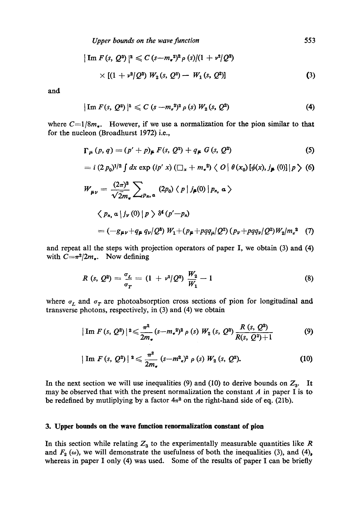$$
\begin{aligned} |\operatorname{Im} F(s, Q^2)|^2 &\leq C \left( s - m_*^2 \right)^2 \rho \left( s \right) / (1 + v^2 / Q^2) \\ &\times \left[ (1 + v^2 / Q^2) W_2(s, Q^2) - W_1(s, Q^2) \right] \end{aligned} \tag{3}
$$

and

$$
|\operatorname{Im} F(s, Q^2)|^2 \leqslant C (s - m_a^2)^2 \rho(s) W_2(s, Q^2)
$$
 (4)

where  $C=1/8m_e$ . However, if we use a normalization for the pion similar to that for the nucleon (Broadhurst 1972) i.e.,

$$
\Gamma_{\mu} (p, q) = (p' + p)_{\mu} F(s, Q^2) + q_{\mu} G(s, Q^2)
$$
 (5)

$$
= i (2 p_0)^{1/2} \int dx \exp(i p' x) (\square_x + m_*^2) \langle O | \theta(x_0) [\phi(x), j_{\pmb{\mu}}(0)] | p \rangle \tag{6}
$$

$$
W_{\mu\nu} = \frac{(2\pi)^3}{\sqrt{2}m_\star} \sum_{Pn,\,\alpha} (2p_0) \langle p | j_\mu(0) | p_n, \,\alpha \rangle
$$
  

$$
\langle p_n, \alpha | j_\nu(0) | p \rangle \delta^4 (p'-p_n)
$$
  

$$
= (-g_{\mu\nu} + q_\mu q_\nu / Q^2) W_1 + (p_\mu + pq q_\mu / Q^2) (p_\nu + pq q_\nu / Q^2) W_2 / m_\star^2
$$
 (7)

and repeat all the steps with projection operators of paper I, we obtain (3) and (4) with  $C=\pi^2/2m_{\pi}$ . Now defining

$$
R(s, Q^2) = \frac{\sigma_L}{\sigma_T} = (1 + v^2/Q^2) \frac{W_2}{W_1} - 1 \tag{8}
$$

where  $\sigma_L$  and  $\sigma_T$  are photoabsorption cross sections of pion for longitudinal and transverse photons, respectively, in (3) and (4) we obtain

$$
|\operatorname{Im} F(s, Q^{2})|^{2} \leq \frac{\pi^{2}}{2m_{\pi}}(s-m_{\pi}^{2})^{2} \rho(s) W_{2}(s, Q^{2}) \frac{R(s, Q^{2})}{R(s, Q^{2})+1}
$$
(9)

$$
|\operatorname{Im} F(s, Q^2)|^2 \leq \frac{\pi^2}{2m_\tau} (s - m^2 \pi)^2 \rho(s) W_2(s, Q^2).
$$
 (10)

In the next section we will use inequalities (9) and (10) to derive bounds on  $Z_3$ . It may be observed that with the present normalization the constant  $A$  in paper I is to be redefined by mutliplying by a factor  $4\pi^2$  on the right-hand side of eq. (21b).

#### **3. Upper bounds on the wave function renormalization constant of pion**

In this section while relating  $Z_3$  to the experimentally measurable quantities like R and  $F_2(\omega)$ , we will demonstrate the usefulness of both the inequalities (3), and (4), whereas in paper I only (4) was used. Some of the results of paper I can be briefly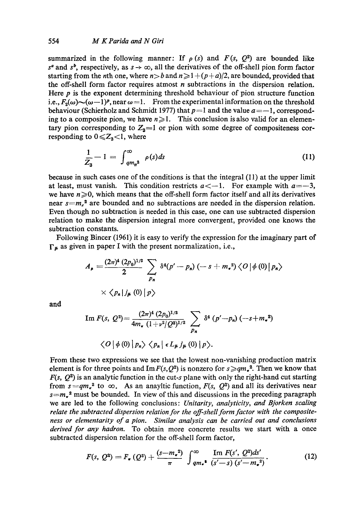summarized in the following manner: If  $\rho(s)$  and  $F(s, Q^2)$  are bounded like  $s^a$  and  $s^b$ , respectively, as  $s \to \infty$ , all the derivatives of the off-shell pion form factor starting from the *n*th one, where  $n>b$  and  $n \geq 1 + (p+a)/2$ , are bounded, provided that the off-shell form factor requires atmost  $n$  subtractions in the dispersion relation. Here  $p$  is the exponent determining threshold behaviour of pion structure function i.e.,  $F_2(\omega) \sim (\omega - 1)^p$ , near  $\omega = 1$ . From the experimental information on the threshold behaviour (Schierholz and Schmidt 1977) that  $p=1$  and the value  $a=-1$ , corresponding to a composite pion, we have  $n \ge 1$ . This conclusion is also valid for an elementary pion corresponding to  $Z_3=1$  or pion with some degree of compositeness corresponding to  $0 \leq Z_3 < 1$ , where

$$
\frac{1}{Z_3} - 1 = \int_{q m_{\pi}^2}^{\infty} \rho(s) ds
$$
 (11)

because in such cases one of the conditions is that the integral (11) at the upper limit at least, must vanish. This condition restricts  $a < -1$ . For example with  $a = -3$ , we have  $n \ge 0$ , which means that the off-shell form factor itself and all its derivatives near  $s=m_a^2$  are bounded and no subtractions are needed in the dispersion relation. Even though no subtraction is needed in this case, one can use subtracted dispersion relation to make the dispersion integral more convergent, provided one knows the subtraction constants.

Following Bincer (1961) it is easy to verify the expression for the imaginary part of  $\Gamma_{\mu}$  as given in paper I with the present normalization, i.e.,

$$
A_{\rho} = \frac{(2\pi)^{4} (2p_{0})^{1/2}}{2} \sum_{p_{n}} \delta^{4}(p'-p_{n}) (-s+m_{\sigma}^{2}) \langle O | \phi (0) | p_{n} \rangle
$$
  
 
$$
\times \langle p_{n} | j_{\mu} (0) | p \rangle
$$

**and** 

Im 
$$
F(s, Q^2) = \frac{(2\pi)^4 (2p_0)^{1/2}}{4m_\pi (1+\nu^2/Q^2)^{1/2}} \sum_{p_n} \delta^4 (p'-p_n) (-s+m_\pi^2)
$$
  
 $\langle O | \phi (0) | p_n \rangle \langle p_n | \epsilon L_\mu j_\mu (0) | p \rangle.$ 

From these two expressions we see that the lowest non-vanishing production matrix element is for three points and  $\text{Im } F(s, Q^2)$  is nonzero for  $s \geq q m_r^2$ . Then we know that  $F(s, Q^2)$  is an analytic function in the cut-s plane with only the right-hand cut starting from  $s = qm<sub>n</sub><sup>2</sup>$  to  $\infty$ . As an anayltic function,  $F(s, Q^2)$  and all its derivatives near  $s=m_e^2$  must be bounded. In view of this and discussions in the preceding paragraph we are led to the following conclusions: *Unitarity, analyticity, and Bjorken scaling relate the subtracted dispersion relation for the off-shell form factor with the compositeness or elementarity of a pion. Similar analysis can be carried out and conclusions derived for any hadron.* To obtain more concrete results we start with a once subtracted dispersion relation for the off-shell form factor,

$$
F(s, Q^{2}) = F_{\bullet}(Q^{2}) + \frac{(s-m_{\bullet}^{2})}{\pi} \int_{qm_{\bullet}^{2}}^{\infty} \frac{\operatorname{Im} F(s', Q^{2}) ds'}{(s'-s) (s'-m_{\bullet}^{2})}.
$$
 (12)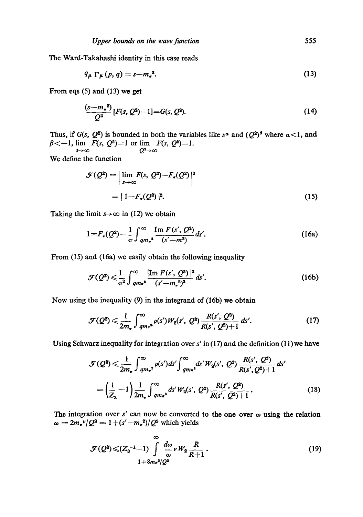The Ward-Takahashi identity in this case reads

$$
q_{\mu} \Gamma_{\mu} (p, q) = s - m_{\bullet}^2. \tag{13}
$$

From eqs (5) and (13) we get

$$
\frac{(s-m^2)}{Q^2}[F(s,Q^2)-1]=G(s,Q^2). \tag{14}
$$

Thus, if *G(s, Q<sup>2</sup>)* is bounded in both the variables like  $s^{\alpha}$  and  $(Q^2)^{\beta}$  where  $\alpha < 1$ , and  $\beta < -1$ ,  $\lim_{s \to \infty} F(s, Q^2) = 1$  or  $\lim_{Q^2 \to \infty} F(s, Q^2) = 1$ .  $Q^2\rightarrow \infty$ 

We define the function

$$
\mathcal{F}(Q^2) = \left| \lim_{s \to \infty} F(s, Q^2) - F_{\bullet}(Q^2) \right|^2
$$

$$
= |1 - F_{\bullet}(Q^2)|^2. \tag{15}
$$

Taking the limit  $s \rightarrow \infty$  in (12) we obtain

$$
1 = F_{\star}(Q^2) - \frac{1}{\pi} \int_{q m_{\pi}^2}^{\infty} \frac{\operatorname{Im} F(s', Q^2)}{(s' - m^2)} ds'. \tag{16a}
$$

From (15) and (16a) we easily obtain the following inequality

$$
\mathcal{F}(Q^2) \leq \frac{1}{\pi^2} \int_{q m r^2}^{\infty} \frac{|\text{Im } F(s', Q^2)|^2}{(s' - m_r^2)^2} \, ds'.
$$
 (16b)

Now using the inequality (9) in the integrand of (16b) we obtain

$$
\mathcal{F}(Q^2) \leq \frac{1}{2m_{\pi}} \int_{q m_{\pi}^{*}}^{\infty} \rho(s') W_2(s', Q^2) \frac{R(s', Q^2)}{R(s', Q^2) + 1} ds'. \tag{17}
$$

Using Schwarz inequality for integration over  $s'$  in (17) and the definition (11) we have

$$
\mathcal{F}(Q^2) \leq \frac{1}{2m_{\pi}} \int_{qm_{\pi}^2}^{\infty} \rho(s')ds' \int_{qm_{\pi}^2}^{\infty} ds' W_2(s', Q^2) \frac{R(s', Q^2)}{R(s', Q^2)+1} ds'
$$

$$
= \left(\frac{1}{Z_3} - 1\right) \frac{1}{2m_{\pi}} \int_{qm_{\pi}^2}^{\infty} ds' W_2(s', Q^2) \frac{R(s', Q^2)}{R(s', Q^2)+1}.
$$
(18)

The integration over  $s'$  can now be converted to the one over  $\omega$  using the relation  $\omega = 2m_r v/Q^2 = 1 + (s'-m_r^2)/Q^2$  which yields

$$
\mathcal{F}(Q^2) \leqslant (Z_3^{-1}-1) \int_{0}^{\infty} \frac{d\omega}{\omega} \nu W_2 \frac{R}{R+1}.
$$
\n(19)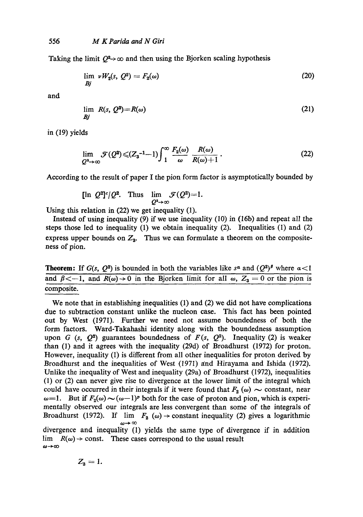Taking the limit  $Q^2 \rightarrow \infty$  and then using the Bjorken scaling hypothesis

$$
\lim_{Bj} \nu W_2(s, Q^2) = F_2(\omega) \tag{20}
$$

and

$$
\lim_{Bj} R(s, Q^2) = R(\omega) \tag{21}
$$

in (19) yields

$$
\lim_{Q^2 \to \infty} \mathcal{F}(Q^2) \leqslant (Z_3^{-1} - 1) \int_1^\infty \frac{F_2(\omega)}{\omega} \frac{R(\omega)}{R(\omega) + 1} \,. \tag{22}
$$

According to the result of paper I the pion form factor is asymptotically bounded by

$$
\text{[ln } Q^2 \text{]}^c/Q^2. \quad \text{Thus} \quad \lim_{Q^2 \to \infty} \mathcal{F}(Q^2) = 1.
$$

Using this relation in (22) we get inequality (1).

Instead of using inequality (9) if we use inequality (10) in (16b) and repeat all the steps those led to inequality (1) we obtain inequality (2). Inequalities (1) and (2) express upper bounds on  $Z_3$ . Thus we can formulate a theorem on the compositeness of pion.

**Theorem:** If  $G(s, Q^2)$  is bounded in both the variables like  $s^{\alpha}$  and  $(Q^2)^{\beta}$  where  $\alpha < 1$ and  $\beta \lt -1$ , and  $R(\omega) \to 0$  in the Bjorken limit for all  $\omega$ ,  $Z_3 = 0$  or the pion is composite.

We note that in establishing inequalities (1) and (2) we did not have complications due to subtraction constant unlike the nucleon ease. This fact has been pointed out by West (1971). Further we need not assume boundedness of both the form factors. Ward-Takahashi identity along with the boundedness assumption upon G (s,  $Q^2$ ) guarantees boundedness of  $F(s, Q^2)$ . Inequality (2) is weaker than (1) and it agrees with the inequality (29d) of Broadhurst (1972) for proton. However, inequality (1) is different from all other inequalities for proton derived by Broadhurst and the inequalities of West (1971) and Hirayama and Ishida (1972). Unlike the inequality of West and inequality (29a) of Broadhurst (1972), inequalities (1) or (2) can never give rise to divergence at the lower limit of the integral which could have occurred in their integrals if it were found that  $F_2(\omega) \sim$  constant, near  $\omega=1$ . But if  $F_2(\omega) \sim (\omega-1)^p$  both for the case of proton and pion, which is experimentally observed our integrals are less convergent than some of the integrals of Broadhurst (1972). If  $\lim F_2(\omega) \to \text{constant inequality}$  (2) gives a logarithmic  $\omega \rightarrow \infty$ divergence and inequality (1) yields the same type of divergence if in addition

lim  $R(\omega) \rightarrow$  const. These cases correspond to the usual result  $\omega \rightarrow \infty$ 

$$
Z_3=1.
$$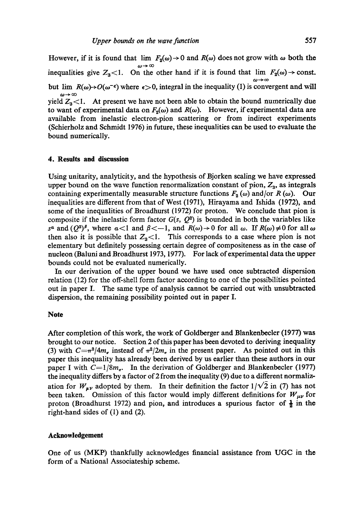However, if it is found that  $\lim F_2(\omega) \to 0$  and  $R(\omega)$  does not grow with  $\omega$  both the inequalities give  $Z_3$ <1. On the other hand if it is found that  $\lim F_2(\omega) \to \text{const.}$  $\omega \rightarrow \infty$ but lim  $R(\omega) \rightarrow O(\omega^{-\epsilon})$  where  $\epsilon > 0$ , integral in the inequality (1) is convergent and will  $\omega \rightarrow \infty$ yield  $Z_3$ <1. At present we have not been able to obtain the bound numerically due to want of experimental data on  $F_2(\omega)$  and  $R(\omega)$ . However, if experimental data are available from inelastic electron-pion scattering or from indirect experiments (Schierholz and Schmidt 1976) in future, these inequalities can be used to evaluate the bound numerically.

#### **4. Results and discussion**

Using unitarity, analyticity, and the hypothesis of Bjorken scaling we have expressed upper bound on the wave function renormalization constant of pion,  $Z<sub>3</sub>$ , as integrals containing experimentally measurable structure functions  $F_2(\omega)$  and/or R ( $\omega$ ). Our inequalities are different from that of West (1971), Hirayama and Ishida (1972), and some of the inequalities of Broadhurst (1972) for proton. We conclude that pion is composite if the inelastic form factor  $G(s, Q^2)$  is bounded in both the variables like  $s^{\alpha}$  and  $(Q^2)^{\beta}$ , where  $\alpha < 1$  and  $\beta < -1$ , and  $R(\omega) \rightarrow 0$  for all  $\omega$ . If  $R(\omega) \neq 0$  for all  $\omega$ then also it is possible that  $Z_3$ <1. This corresponds to a case where pion is not elementary but definitely possessing certain degree of compositeness as in the case of nucleon (Baluni and Broadhurst 1973, 1977). For lack of experimental data the upper bounds could not be evaluated numerically.

In our derivation of the upper bound we have used once subtracted dispersion relation (12) for the off-shell form factor according to one of the possibilities pointed out in paper I. The same type of analysis cannot be carried out with unsubtracted dispersion, the remaining possibility pointed out in paper I.

## **Note**

After completion of this work, the work of Goldberger and Blankenbeeler (1977) was brought to our notice. Section 2 of this paper has been devoted to deriving inequality (3) with  $C=r^2/4m_r$ , instead of  $\pi^2/2m_r$ , in the present paper. As pointed out in this paper this inequality has already been derived by us earlier than these authors in our paper I with  $C=1/8m_{\pi}$ . In the derivation of Goldberger and Blankenbecler (1977) the inequality differs by a factor of 2 from the inequality (9) due to a different normalization for  $W_{\mu\nu}$  adopted by them. In their definition the factor  $1/\sqrt{2}$  in (7) has not been taken. Omission of this factor would imply different definitions for  $W_{\mu\nu}$  for proton (Broadhurst 1972) and pion, and introduces a spurious factor of  $\frac{1}{2}$  in the right-hand sides of (1) and (2).

### **Acknowledgement**

One of us (MKP) thankfully acknowledges financial assistance from UGC in the form of a National Associateship scheme.